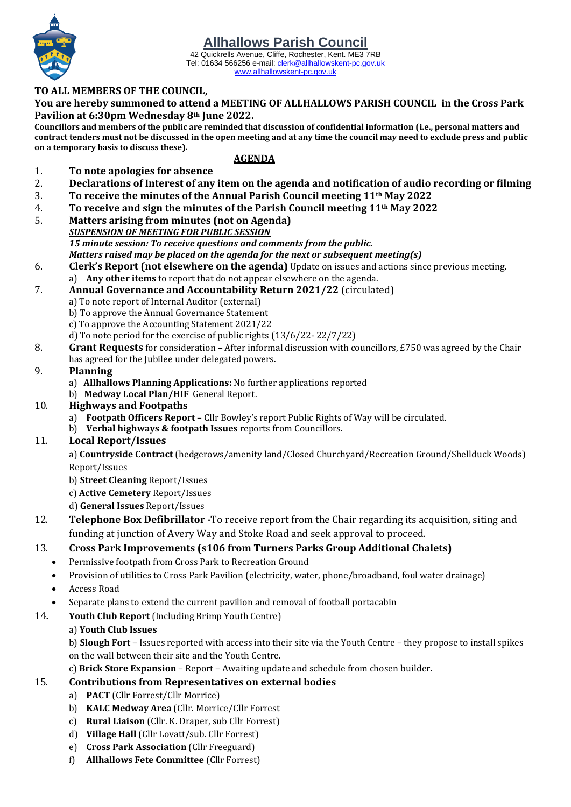42 Quickrells Avenue, Cliffe, Rochester, Kent. ME3 7RB Tel: 01634 566256 e-mail[: clerk@allhallowskent-pc.gov.uk](mailto:allhallowspc@gmail.com) [www.allhallowskent-pc.gov.uk](http://www.allhallowskent-pc.gov.uk/)

#### **TO ALL MEMBERS OF THE COUNCIL,**

**You are hereby summoned to attend a MEETING OF ALLHALLOWS PARISH COUNCIL in the Cross Park Pavilion at 6:30pm Wednesday 8th June 2022.**

**Councillors and members of the public are reminded that discussion of confidential information (i.e., personal matters and contract tenders must not be discussed in the open meeting and at any time the council may need to exclude press and public on a temporary basis to discuss these).**

#### **AGENDA**

- 1. **To note apologies for absence**
- 2. **Declarations of Interest of any item on the agenda and notification of audio recording or filming**
- 3. **To receive the minutes of the Annual Parish Council meeting 11th May 2022**
- 4. **To receive and sign the minutes of the Parish Council meeting 11th May 2022**
- 5. **Matters arising from minutes (not on Agenda)**
	- *SUSPENSION OF MEETING FOR PUBLIC SESSION 15 minute session: To receive questions and comments from the public. Matters raised may be placed on the agenda for the next or subsequent meeting(s)*
- 6. **Clerk's Report (not elsewhere on the agenda)** Update on issues and actions since previous meeting. a) **Any other items** to report that do not appear elsewhere on the agenda.
- 7. **Annual Governance and Accountability Return 2021/22** (circulated)
	- a) To note report of Internal Auditor (external)
	- b) To approve the Annual Governance Statement
	- c) To approve the Accounting Statement 2021/22
	- d) To note period for the exercise of public rights (13/6/22- 22/7/22)
- 8. **Grant Requests** for consideration After informal discussion with councillors, £750 was agreed by the Chair has agreed for the Jubilee under delegated powers.

#### 9. **Planning**

- a) **Allhallows Planning Applications:** No further applications reported
- b) **Medway Local Plan/HIF** General Report.

#### 10. **Highways and Footpaths**

- a) **Footpath Officers Report** Cllr Bowley's report Public Rights of Way will be circulated.
- b) **Verbal highways & footpath Issues** reports from Councillors.

## 11. **Local Report/Issues**

a) **Countryside Contract** (hedgerows/amenity land/Closed Churchyard/Recreation Ground/Shellduck Woods) Report/Issues

- b) **Street Cleaning** Report/Issues
- c) **Active Cemetery** Report/Issues
- d) **General Issues** Report/Issues
- 12. **Telephone Box Defibrillator -**To receive report from the Chair regarding its acquisition, siting and funding at junction of Avery Way and Stoke Road and seek approval to proceed.

## 13. **Cross Park Improvements (s106 from Turners Parks Group Additional Chalets)**

- Permissive footpath from Cross Park to Recreation Ground
- Provision of utilities to Cross Park Pavilion (electricity, water, phone/broadband, foul water drainage)
- Access Road
- Separate plans to extend the current pavilion and removal of football portacabin
- 14**. Youth Club Report** (Including Brimp Youth Centre)

#### a) **Youth Club Issues**

b) **Slough Fort** – Issues reported with access into their site via the Youth Centre – they propose to install spikes on the wall between their site and the Youth Centre.

c) **Brick Store Expansion** – Report – Awaiting update and schedule from chosen builder.

## 15. **Contributions from Representatives on external bodies**

- a) **PACT** (Cllr Forrest/Cllr Morrice)
- b) **KALC Medway Area** (Cllr. Morrice/Cllr Forrest
- c) **Rural Liaison** (Cllr. K. Draper, sub Cllr Forrest)
- d) **Village Hall** (Cllr Lovatt/sub. Cllr Forrest)
- e) **Cross Park Association** (Cllr Freeguard)
- f) **Allhallows Fete Committee** (Cllr Forrest)